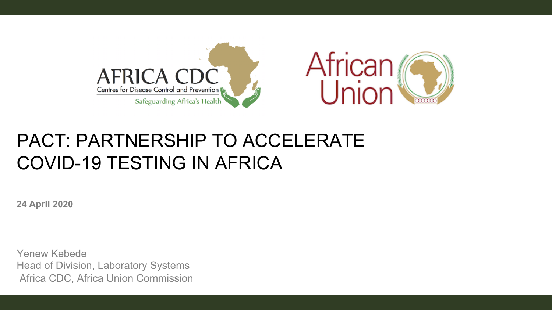

## PACT: PARTNERSHIP TO ACCELERATE COVID-19 TESTING IN AFRICA

**24 April 2020**

Yenew Kebede Head of Division, Laboratory Systems Africa CDC, Africa Union Commission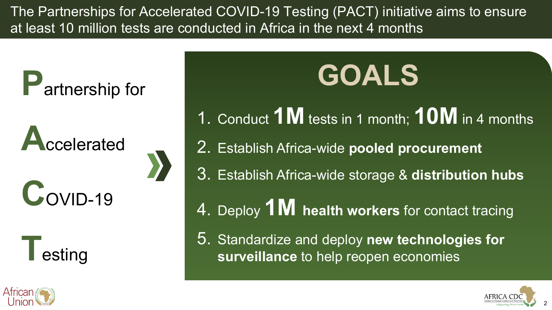The Partnerships for Accelerated COVID-19 Testing (PACT) initiative aims to ensure at least 10 million tests are conducted in Africa in the next 4 months

**P**artnership for

**A**ccelerated **C**<sub>OVID-19</sub>



# **GOALS**

- 1. Conduct **1M** tests in 1 month; **10M** in 4 months
- 2. Establish Africa-wide **pooled procurement**
- 3. Establish Africa-wide storage & **distribution hubs**
- 4. Deploy **1M health workers** for contact tracing
- 5. Standardize and deploy **new technologies for surveillance** to help reopen economies



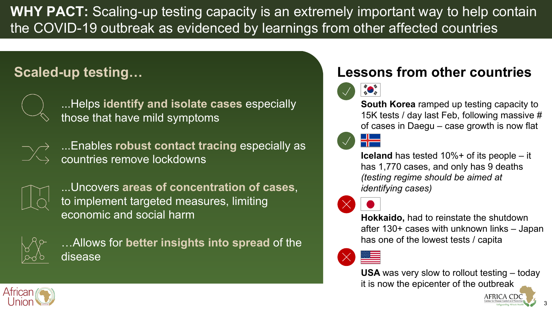**WHY PACT:** Scaling-up testing capacity is an extremely important way to help contain the COVID-19 outbreak as evidenced by learnings from other affected countries

## **Scaled-up testing…**



...Helps **identify and isolate cases** especially those that have mild symptoms



...Enables **robust contact tracing** especially as countries remove lockdowns



...Uncovers **areas of concentration of cases**, to implement targeted measures, limiting economic and social harm



…Allows for **better insights into spread** of the disease

### **Lessons from other countries**



**South Korea** ramped up testing capacity to 15K tests / day last Feb, following massive # of cases in Daegu – case growth is now flat





**Hokkaido,** had to reinstate the shutdown after 130+ cases with unknown links – Japan has one of the lowest tests / capita

**USA** was very slow to rollout testing – today it is now the epicenter of the outbreak



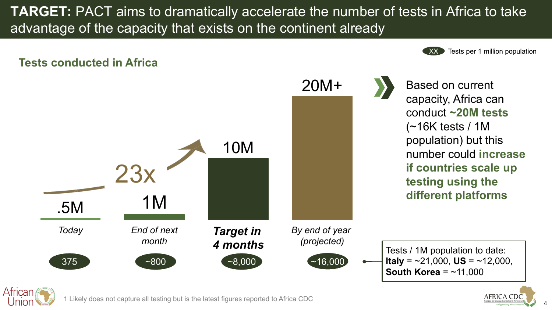**TARGET:** PACT aims to dramatically accelerate the number of tests in Africa to take advantage of the capacity that exists on the continent already

#### **Tests conducted in Africa**





Based on current capacity, Africa can conduct **~20M tests**  (~16K tests / 1M population) but this number could **increase if countries scale up testing using the different platforms**



1 Likely does not capture all testing but is the latest figures reported to Africa CDC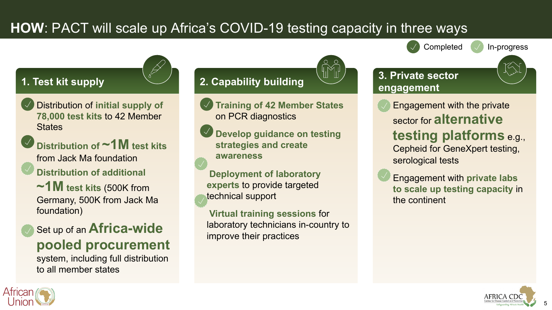## **HOW**: PACT will scale up Africa's COVID-19 testing capacity in three ways

#### **1. Test kit supply**

- **Distribution of initial supply of 78,000 test kits** to 42 Member **States**
- Distribution of  $\sim$  **1M** test kits from Jack Ma foundation
- **Distribution of additional** 
	- **~1M test kits** (500K from Germany, 500K from Jack Ma foundation)
	- **Set up of an Africa-wide pooled procurement**

system, including full distribution to all member states

## **2. Capability building**

- **Training of 42 Member States** on PCR diagnostics
- **Develop guidance on testing strategies and create awareness**

**Deployment of laboratory experts** to provide targeted technical support

**Virtual training sessions** for laboratory technicians in-country to improve their practices

**3. Private sector** 

- **engagement Engagement with the private** sector for **alternative** 
	- **testing platforms** e.g., Cepheid for GeneXpert testing,

Completed  $\sqrt{\ }$  In-progress

serological tests

**Engagement with private labs to scale up testing capacity** in the continent



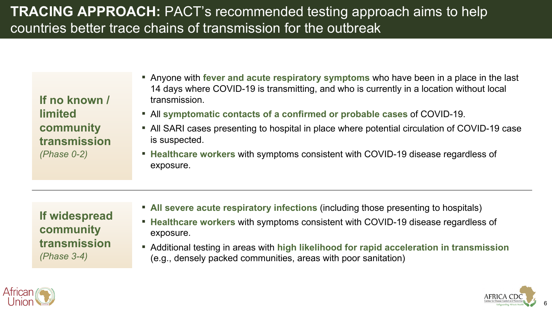## **TRACING APPROACH:** PACT's recommended testing approach aims to help countries better trace chains of transmission for the outbreak

**If no known / limited community transmission** *(Phase 0-2)*

- **E** Anyone with **fever and acute respiratory symptoms** who have been in a place in the last 14 days where COVID-19 is transmitting, and who is currently in a location without local transmission.
- All **symptomatic contacts of a confirmed or probable cases** of COVID-19.
- All SARI cases presenting to hospital in place where potential circulation of COVID-19 case is suspected.
- **Healthcare workers** with symptoms consistent with COVID-19 disease regardless of exposure.

**If widespread community transmission** *(Phase 3-4)*

- **EXTED FIREY All severe acute respiratory infections** (including those presenting to hospitals)
- **Healthcare workers** with symptoms consistent with COVID-19 disease regardless of exposure.
- Additional testing in areas with high likelihood for rapid acceleration in transmission (e.g., densely packed communities, areas with poor sanitation)



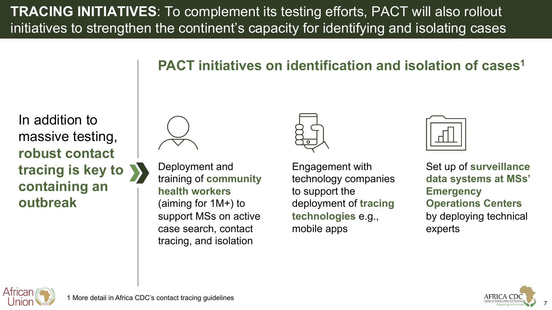**TRACING INITIATIVES**: To complement its testing efforts, PACT will also rollout initiatives to strengthen the continent's capacity for identifying and isolating cases

In addition to massive testing, **robust contact tracing is key to containing an outbreak**





Deployment and training of **community health workers** (aiming for 1M+) to support MSs on active case search, contact tracing, and isolation



Engagement with technology companies to support the deployment of **tracing technologies** e.g., mobile apps



Set up of **surveillance data systems at MSs' Emergency Operations Centers** by deploying technical experts